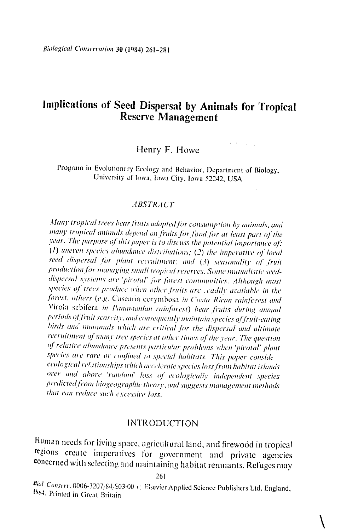# Implications of Seed Dispersal by Animals for Tropical **Reserve Management**

# Henry F. Howe

Program in Evolutionary Ecology and Behavior, Department of Biology, University of Iowa, Iowa City, Iowa 52242, USA

#### **ABSTRACT**

Many tropical trees bear fruits adapted for consumption by animals, and many tropical animals depend on fruits for food for at least part of the year. The purpose of this paper is to discuss the potential importance of: (1) uneven species abundance distributions; (2) the imperative of local seed dispersal for plant recruitment; and (3) seasonality of fruit production for managing small tropical reserves. Some mutualistic seeddispersal systems are 'pivotal' for forest communities. Although most species of trees produce when other fruits are cadily available in the forest, others (e.g. Casearia corymbosa in Costa Rican rainforest and Virola sebifera in Panamanian rainforest) hear fruits during annual periods of fruit scarcity, and consequently maintain species of fruit-eating birds and mammals which are critical for the dispersal and ultimate recruitment of many tree species at other times of the year. The question of relative abundance presents particular problems when 'pivotal' plant species are rare or confined to special habitats. This paper conside ecological relationships which accelerate species loss from habitat islands over and above 'random' loss of ecologically independent species predicted from biogeographic theory, and suggests management methods that can reduce such excessive loss.

### **INTRODUCTION**

Human needs for living space, agricultural land, and firewood in tropical regions create imperatives for government and private agencies concerned with selecting and maintaining habitat remnants. Refuges may

261

Biol. Conserv. 0006-3207/84/503-00 C. Elsevier Applied Science Publishers Ltd, England, 1984. Printed in Great Britain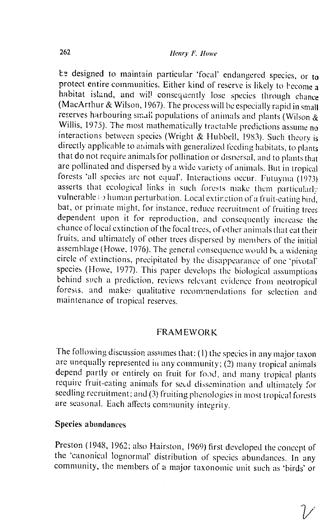**I!h** designed to maintain particular 'focal' endangered species, or **to**  protect entire communities. Either kind of reserve is likely to become a habitat island, and wil) consequently lose species through chance (MacArthur & Wilson, 1967). The process will **be** especially rapid in small reserves harbouring small populations of animals and plants (Wilson  $\&$ Willis, 1975). The most mathematically tractable predictions assume no interactions between species (Wright & Hubbell, **1983).** Such theory is directly applicable to animals with generalized feeding habitats, to plants that do not require animals for pollination or disnersal, and to plants that are pollinated and dispersed by a wide variety of animals. But in tropical forests 'all species are not equal'. Interactions occur. Futuyma (1973) asserts that ecological links in such forests make them particularly vulnerable  $\odot$  human perturbation. Local extinction of a fruit-eating bird, bat, or primate might, for instance, reduce recruitment of fruiting trees dependent upon it for reproduction, and consequently increase the chance of local extinction of the focal trees, of other animals that eat their fruits, and ultimately of other trees dispersed by members of the initial assemblage (Howe, 1976). The general consequence would be a widening circle of extinctions, precipitated by the disappearance of one 'pivotal' species (Howe, 1977). This paper develops the biological assumptions behind such a prediction, reviews relevant evidence from neotropical forests, and make. qualitative recommendations for selection and maintenance of tropical reserves.

### **FRAMEWORK**

The following discussion assumes that: (I) the species in any major taxon are unequally represented in any community; (2) many tropical animals depend partly or entirely on fruit for food, and many tropical plants require fruit-eating animals for secd dissemination and ultimately for seedling recruitment; and (3) fruiting phenologies in most tropical forests are seasonal. Each affects community integrity.

## Species abundances

Preston (1948, 1962; also Hairston, 1969) first developed the concept of the 'canonical lognormal' distribution of species abundances. In any community, the members of a major taxonomic unit such as 'birds' or

 $\frac{1}{2}$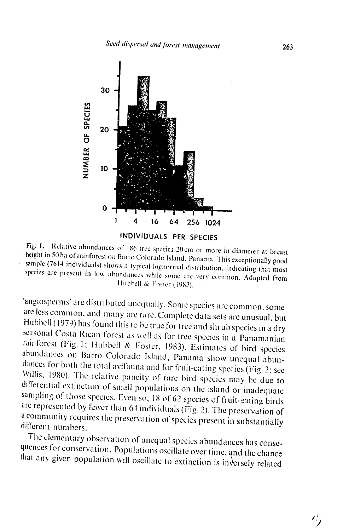

Fig. 1. Relative abundances of 186 tree species 20 cm or more in diameter at breast sample (7614 sample (7614 individuals) shows a typical lognormal distribution, indicating that most species are present in low abundances while some are very common. Adapted from Hubbell & Foster (1983).

'angiosperms' are distributed unequally. Some species are common, some<br>are less common, and many are rare. Complete data sets are unusual, but<br>Hubbell (1979) has found this to be true for tree and shrub species in a dry<br>s different numbers.

The elementary observation of unequal species abundances has consequences for conservation. Populations oscillate over time, and the chance that any given population will oscillate to extinction is inversely related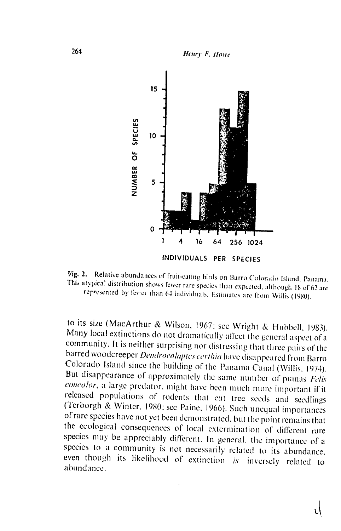

**Fig. 2.** Relative abundances of fruit-eating birds on Barro Colorado Island, Panama.<br>This atypical distribution shows fewer rare species than expected, although 18 of 62 are represented by fever than 64 individuals. Estim

to its size (MacArthur & Wilson, 1967; see Wright & Hubbell, 1983).<br>Many local extinctions do not dramatically affect the general aspect of a<br>community. It is neither surprising nor distressing that three pairs of the<br>bar even though its likelihood of extinction *is* inversely related to abundance.

ή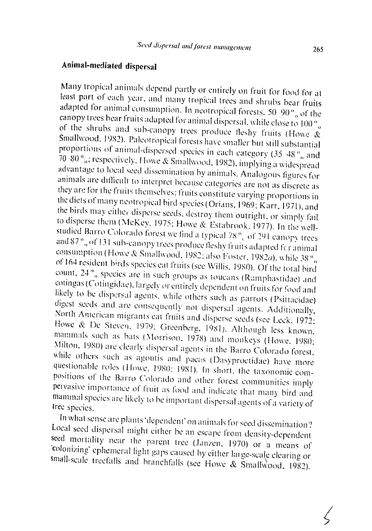# Animal-mediated dispersal

Many tropical animals depend partly or entirely on fruit for food for at least part of each year, and many tropical trees and shrubs bear fruits adapted for animal consumption. In neotropical forests,  $50.90\%$  of the can<br>opy trees bear fruits adapted for animal dispersal, while close to<br>100  $^{\circ}$ of the shrubs and sub-canopy trees produce fleshy fruits (Howe & Smallwood, 1982). Paleotropical forests have smaller but still substantial proportions of animal-dispersed species in each category (35–48<sup>o</sup><sub>0</sub> and 70-80%; respectively, Howe & Smallwood, 1982), implying a widespread advantage to local seed dissemination by animals. Analogous figures for animals are difficult to interpret because categories are not as discrete as they are for the fruits themselves; fruits constitute varying proportions in the diets of many neotropical bird species (Orians, 1969; Karr, 1971), and the birds may either disperse seeds, destroy them outright, or simply fail to disperse them (McKey, 1975; Howe & Estabrook, 1977). In the wellstudied Barro Colorado forest we find a typical 78<sup>%</sup> of 291 canopy trees and 87% of 131 sub-canopy trees produce fleshy fruits adapted for animal consumption (Howe & Smallwood, 1982; also Foster, 1982a), while 38 $\degree$ <sub>0</sub> of 164 resident birds species eat fruits (see Willis, 1980). Of the total bird count, 24% species are in such groups as toucans (Ramphastidae) and cotingas (Cotingidae), largely or entirely dependent on fruits for food and likely to be dispersal agents, while others such as parrots (Psittacidae) digest seeds and are consequently not dispersal agents. Additionally, North American migrants eat fruits and disperse seeds (see Leck, 1972; Howe & De Steven, 1979; Greenberg, 1981). Although less known, mammals such as bats (Morrison, 1978) and monkeys (Howe, 1980; Milton, 1980) are clearly dispersal agents in the Barro Colorado forest, while others such as agoutis and pacas (Dasyproctidae) have more questionable roles (Howe, 1980; 1981). In short, the taxonomic compositions of the Barro Colorado and other forest communities imply pervasive importance of fruit as food and indicate that many bird and mammal species are likely to be important dispersal agents of a variety of tree species.

In what sense are plants 'dependent' on animals for seed dissemination? Local seed dispersal might either be an escape from density-dependent seed mortality near the parent tree (Janzen, 1970) or a means of 'colonizing' ephemeral light gaps caused by either large-scale clearing or small-scale treefalls and branchfalls (see Howe & Smallwood, 1982).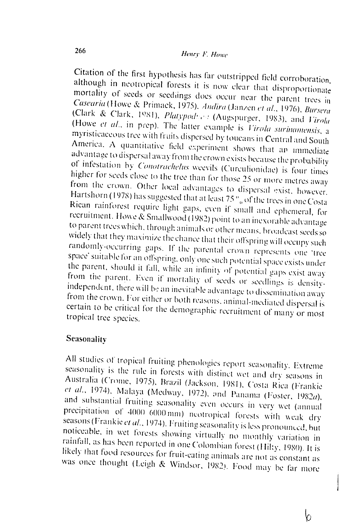Citation of the first hypothesis has far outstripped field corroboration. although in neotropical forests it is now clear that disproportionate mortality of seeds or seedings does occur near the parent trees in Casearia (Howe & Primack, 1975). Andira (Janzen et al., 1976), Bursera (Clark & Clark, 1981), Platypodsess (Augspurger, 1983), and Virola (Howe et al., in prep). The latter example is Virola surinamensis, a myristicaceous tree with fruits dispersed by toucans in Central and South America. A quantitative field experiment shows that an immediate advantage to dispersal away from the crown exists because the probability of infestation by Conotrachelus weevils (Curculionidae) is four times higher for seeds close to the tree than for those 25 or more metres away from the crown. Other local advantages to dispersal exist, however. Hartshorn (1978) has suggested that at least 75% of the trees in one Costa Rican rainforest require light gaps, even if small and ephemeral, for recruitment. Howe & Smallwood (1982) point to an inexorable advantage to parent trees which, through animals or other means, broadcast seeds so widely that they maximize the chance that their offspring will occupy such randomly-occurring gaps. If the parental crown represents one 'tree space' suitable for an offspring, only one such potential space exists under the parent, should it fall, while an infinity of potential gaps exist away from the parent. Even if mortality of seeds or seedlings is densityindependent, there will be an inevitable advantage to dissemination away from the crown. For either or both reasons, animal-mediated dispersal is certain to be critical for the demographic recruitment of many or most tropical tree species.

### Seasonality

All studies of tropical fruiting phenologies report seasonality. Extreme seasonality is the rule in forests with distinct wet and dry seasons in Australia (Crome, 1975), Brazil (Jackson, 1981), Costa Rica (Frankie et al., 1974), Malaya (Medway, 1972), and Panama (Foster, 1982a), and substantial fruiting seasonality even occurs in very wet (annual precipitation of 4000 6000 mm) neotropical forests with weak dry seasons (Frankie et al., 1974). Fruiting seasonality is less pronounced, but noticeable, in wet forests showing virtually no monthly variation in rainfall, as has been reported in one Colombian forest (Hilty, 1980). It is likely that food resources for fruit-eating animals are not as constant as was once thought (Leigh & Windsor, 1982). Food may be far more

n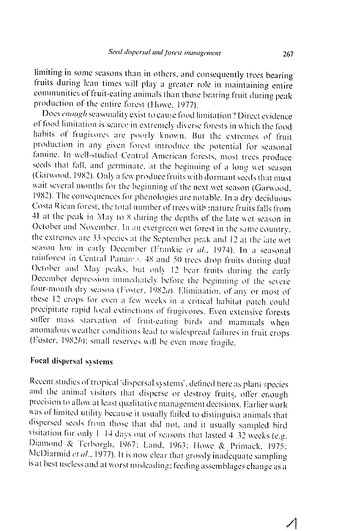limiting in some seasons than in others, and consequently trees bearing fruits during lean times will play a greater role in maintaining entire communities of fruit-eating animals than those bearing fruit during peak production of the entire forest (Howe, 1977).

Does enough seasonality exist to cause food limitation? Direct evidence of food limitation is scarce in extremely diverse forests in which the food habits of frugivores are poorly known. But the extremes of fruit production in any given forest introduce the potential for seasonal famine. In well-studied Central American ferests, most trees produce seeds that fall, and germinate, at the beginning of a long wet season (Garwood, 1982). Only a few produce fruits with dormant seeds that must wait several months for the beginning of the next wet season (Garwood, 1982). The consequences for phenologies are notable. In a dry deciduous Costa Rican forest, the total number of trees with mature fruits falls from 41 at the peak in May to 8 during the depths of the late wet season in October and November. In an evergreen wet forest in the same country, the extremes are 33 species at the September peak and 12 at the late wet season low in early December (Frankie et al., 1974). In a seasonal rainforest in Central Panama, 48 and 50 trees drop fruits during dual October and May peaks, but only 12 bear fruits during the early December depression immediately before the beginning of the severe four-month dry season (Foster, 1982a). Elimination of any or most of these 12 crops for even a few weeks in a critical habitat patch could precipitate rapid local extinctions of frugivores. Even extensive forests suffer mass starvation of fruit-eating birds and mammals when anomalous weather conditions lead to widespread failures in fruit crops (Foster, 1982b); small reserves will be even more fragile.

# **Focal dispersal systems**

Recent studies of tropical 'dispersal systems', defined here as plant species and the animal visitors that disperse or destroy fruits, offer enough precision to allow at least qualitative management decisions. Earlier work was of limited utility because it usually failed to distinguish animals that dispersed seeds from those that did not, and it usually sampled bird visitation for only  $1/14$  days out of seasons that lasted  $4/32$  weeks (e.g. Diamond & Terborgh, 1967; Land, 1963; Howe & Primack, 1975; McDiarmid et al., 1977). It is now clear that grossly inadequate sampling is at best useless and at worst misleading; feeding assemblages change as a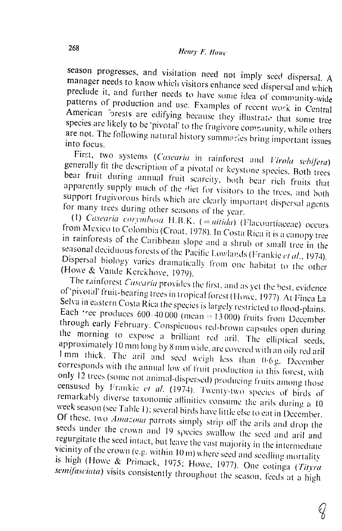season renom p manager needs to know which visitors enhance seed dispersal and which<br>preclude it, and further needs to have some idea of community-wide<br>patterns of production and use. Examples of recent work in Central<br>American "orests a into **focus.** 

First, two systems (*Casearia* in rainforest and *Virola sehifera*) generally fit the description of a pivotal or keystone species. Both trees bear fruit during annual fruit scarcity, both bear rich fruits that apparently

(1) *Casearia corymbosa* H.B.K. (= *nitida*) (Flacourtiaceae) occurs from Mexico to Colombia (Croat, 1978). In Costa Rica it is a canopy tree in rainforests of the Caribbean slope and a shrub or small tree in the seasonal deciduous forests of the Pacific Lowlands (Frankie et al., 1974). Dispersal biology varies dramatically from one habitat to the other<br>(Howe & Vande Kerckhove, 1979).<br>The rainforest *Casearia* provides the first, and as yet the best, evidence<br>of pivotal fruit-bearing trees in tropical for

Selva in eastern Costa Rica the species is largely restricted to flood-plains.<br>Each tree produces 600-40 000 (mean = 13 000) fruits from December<br>through early February. Conspicuous red-brown capsules open during<br>the morn approximately 10 mm long by 8 mm wide, are covered with an oily red aril 1 mm thick. The aril and seed weigh less than  $-0.6$  g. December corresponds with the annual low of fruit production in this forest, with only 12 trees (some not animal-dispersed) producing fruits among those censused by Frankie et al. (1974). Twenty-two species of birds of remarkably diverse taxonomic affinities consume the arils during a 10 week season (see Table 1); several birds have little else to eat in December. Of these, two *Amazona* parrots simply strip off the arils and drop the seeds under the crown and 19 species swallow the seed and aril and regurgitate the seed intact, but leave the vast majority in the intermediate vicinity of the crown (e.g. within 10 m) where seed and seedling mortality is high (Howe & Primack, 1975; Howe, 1977). One cotinga *(Tityra*) semifasciata) visits consistently throughout the season, feeds at a high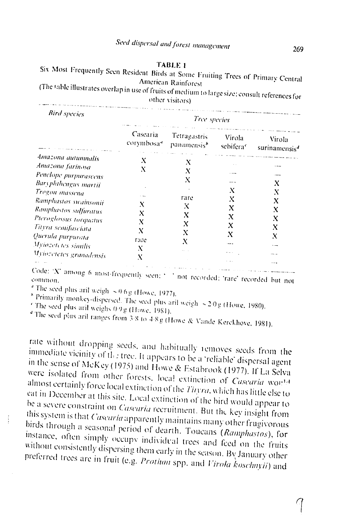#### TABLE 1

Six Most Frequently Seen Resident Birds at Some Fruiting Trees of Primary Central American Rainforest

(The table illustrates overlap in use of fruits of medium to large size; consult references for other visitors). ----------------

| <b>Bird</b> species            | Tree species                       |                                         |                     |                                     |
|--------------------------------|------------------------------------|-----------------------------------------|---------------------|-------------------------------------|
|                                | Casearia<br>corymbosa <sup>4</sup> | Tetragastris<br>panamensis <sup>b</sup> | Virola<br>sebiferac | Virola<br>surinamensis <sup>4</sup> |
| Amazona autumnalis             | X                                  | Х                                       |                     |                                     |
| Amazona farinosa               | X                                  |                                         |                     |                                     |
| Penclope purpurascens          |                                    |                                         |                     |                                     |
| Baryphthengus martii           |                                    | Х                                       |                     | x                                   |
| Tregon massena                 |                                    |                                         | х                   | Х                                   |
| Ramphastos swainsonii          |                                    | rare                                    | Х                   | x                                   |
| Ramphastos sulfuratus          | х                                  | Х                                       | x                   | x                                   |
|                                | х                                  | x                                       | x                   |                                     |
| Pteroglossus torquatus         | Х                                  | x                                       | х                   | x                                   |
| Tityra semifasciata            | x                                  | x                                       |                     | X                                   |
| Querula purpurata              | rare                               |                                         | x                   | x                                   |
| <i>Myiozetctes similis</i>     |                                    | Х                                       |                     |                                     |
| <i>Myiozetetes granadensis</i> | Х                                  |                                         |                     |                                     |
|                                |                                    |                                         |                     |                                     |

المتحصص المستقلة المستحدث والمتحدث والمستقلة المستحدث المستحدث والمتحدث والمستحدث Code: 'X' among 6 most-frequently seen; ' " not recorded; 'rare' recorded but not

The seed plus aril weigh  $\approx 0.6$  g (Howe, 1977).

<sup>\*</sup> Primarily monkey-dispersed. The seed plus aril weigh  $\sim$  2.0 g (Howe, 1980). The seed plus arif weighs 0.9 g (Howe, 1981).

ţ

<sup>d</sup> The seed plus aril ranges from 3.8 to 4.8 g (Howe & Vande Kerckhove, 1981).

rate without dropping seeds, and habitually removes seeds from the immediate vicinity of the tree. It appears to be a 'reliable' dispersal agent in the sense of McKey (1975) and Howe & Estabrook (1977). If La Selva were isolated from other forests, local extinction of Casearia would almost certainly force local extinction of the Tityra, which has little else to eat in December at this site. Local extinction of the bird would appear to be a severe constraint on *Casearia* recruitment. But the key insight from this system is that Casearia apparently maintains many other frugivorous birds through a seasonal period of dearth. Toucans (Ramphastos), for instance, often simply occupy individual trees and feed on the fruits without consistently dispersing them early in the season. By January other preferred trees are in fruit (e.g. Protium spp. and Virola koschnyii) and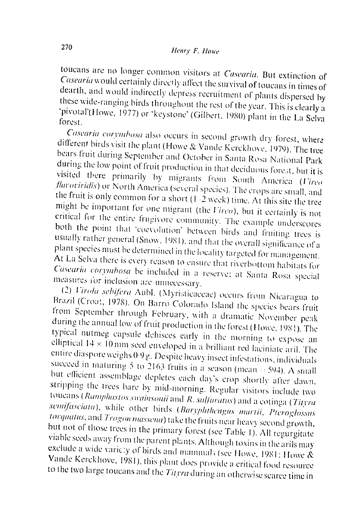toucans are no longer common visitors at *Casearia*. But extinction of Casearia would certainly directly affect the survival of toucans in times of dearth, and would indirectly depress recruitment of plants dispersed by these wide-ranging birds throughout the rest of the year. This is clearly a 'pivotal'(Howe, 1977) or 'keystone' (Gilbert, 1980) plant in the La Selva forest.

Casearia corymbosa also occurs in second growth dry forest, where different birds visit the plant (Howe & Vande Kerckhove, 1979). The tree bears fruit during September and October in Santa Rosa National Park during the low point of fruit production in that deciduous forest, but it is visited there primarily by migrants from South America (Virco flavoviridis) or North America (several species). The crops are small, and the fruit is only common for a short  $(1\cdot 2 \text{ week})$  time. At this site the tree might be important for one migrant (the Vireo), but it certainly is not critical for the entire frugivore community. The example underscores both the point that 'coevolution' between birds and fruiting trees is usually rather general (Snow, 1981), and that the overall significance of a plant species must be determined in the locality targeted for management. At La Selva there is every reason to ensure that riverbottom habitats for Casearia corymbosa be included in a reserve; at Santa Rosa special measures for inclusion are unnecessary.

(2) Virola sebifera Aubl. (Myristicaceae) occurs from Nicaragua to Brazil (Croat, 1978). On Barro Colorado Island the species bears fruit from September through February, with a dramatic November peak during the annual low of fruit production in the forest (Howe, 1981). The typical nutmeg capsule dehisces early in the morning to expose an elliptical  $14 \times 10$  mm seed enveloped in a brilliant red laciniate aril. The entire diaspore weighs 0.9 g. Despite heavy insect infestations, individuals succeed in maturing 5 to 2163 fruits in a season (mean  $\approx$  594). A small but efficient assemblage depletes each day's crop shortly after dawn, stripping the trees bare by mid-morning. Regular visitors include two toueans (Ramphastos swainsonii and R. sulfuratus) and a cotinga (Tityra semifasciata), while other birds (Baryphthengus martii, Pteroglossus torquatus, and Trogon massena) take the fruits near heavy second growth, but not of those trees in the primary forest (see Table 1). All regurgitate viable seeds away from the parent plants. Although toxins in the arils may exclude a wide variety of birds and mammals (see Howe, 1981; Howe & Vande Kerekhove, 1981), this plant does provide a critical food resource to the two large toucans and the Tityra during an otherwise scarce time in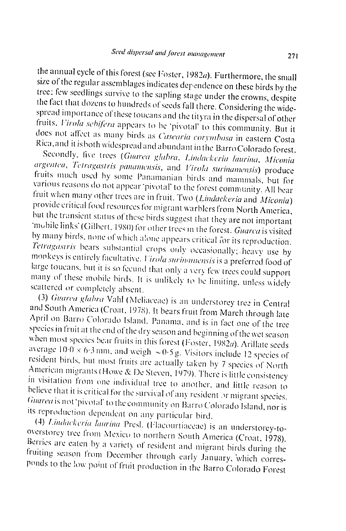the annual cycle of this forest (see Foster, 1982*a*). Furthermore, the small<br>size of the regular assemblages indicates dependence on these birds by the<br>tree; few seedlings survive to the sapling stage under the crowns, de

various<br>various fruits much used by some Panamanian birds and mammals, but for reasons do not appear "pivotal" to the forest community. All bear various reasons do not appear "pivotal" to the forest community. All bear fruit when many oth provide critical food resources for migrant warblers from North America,<br>but the transient status of these birds suggest that they are not important fruit when many other trees are in fruit. Two (*Lindackeria* and *Miconia*) provide critical food resources for migrant warblers from North America, but the transient status of these birds suggest that they are not importa

(3) *Garca*glabra Vahl (Nleliaceae) is an understorey tree in Central and South America (Croat, 1978). It bears fruit from March through late April on Barro Colorado Island. Panama, and is in fact one of the tree when species s in fruit at the end of the dry season and beginning when most species bear fruits in this forest (Foster, 1982*a*). Arillate seeds average  $10.0 \times 6.3$  mm, and weigh  $\sim 0.5$  g. Visitors include 12 species of resident birds, but most  $f_{\text{unit}} = f(x, y)$  is the memory include 12 species of  $\Delta$ marican birds, but most American migrants (Howe & De Steven, 1979). There is little consistency<br>in visitation from one individual tree to another, and little reason to<br>believe that it is critical for the survival of any resident or migrant specie

overstorey tree from Mexico to northern South America (Croat, 1978).<br>Berries are eaten by a variety of resident and migrant birds during the<br>fruiting season from December through early January, which corres-<br>ponds to the l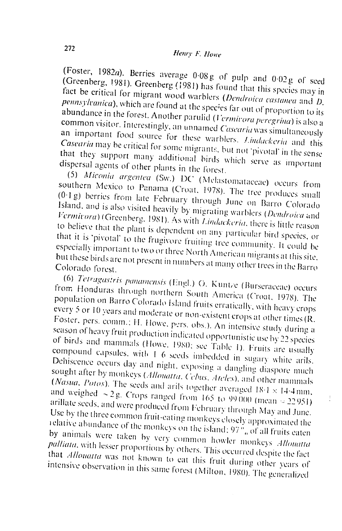(Foster, 1982a). Berries average 0.08 g of pulp and 0.02 g of seed (Greenberg, 1981). Greenberg (1981) has found that this species may in fact be critical for migrant wood warblers (Dendroica castanea and D. pennsylvanica), which are found at the species far out of proportion to its abundance in the forest. Another parulid (Vermivora peregrina) is also a common visitor. Interestingly, an unnamed Casearia was simultaneously an important food source for these warblers. Lindackeria and this Casearia may be critical for some migrants, but not 'pivotal' in the sense that they support many additional birds which serve as important dispersal agents of other plants in the forest.

(5) Miconia argentea (Sw.) DC (Melastomataceae) occurs from southern Mexico to Panama (Croat, 1978). The tree produces small (0.1 g) berries from late February through June on Barro Colorado Island, and is also visited heavily by migrating warblers (Dendroica and Vermivora) (Greenberg, 1981). As with Lindackeria, there is little reason to believe that the plant is dependent on any particular bird species, or that it is 'pivotal' to the frugivore fruiting tree community. It could be especially important to two or three North American migrants at this site. but these birds are not present in numbers at many other trees in the Barro Colorado forest.

(6) Tetragastris panamensis (Engl.) O. Kuntze (Burseraceae) occurs from Honduras through northern South America (Croat, 1978). The population on Barro Colorado Island fruits erratically, with heavy erops every 5 or 10 years and moderate or non-existent crops at other times (R. Foster, pers. comm.; H. Howe, pers. obs.). An intensive study during a season of heavy fruit production indicated opportunistic use by 22 species of birds and mammals (Howe, 1980; see Table 1). Fruits are usually compound capsules, with 1 6 seeds imbedded in sugary white arils. Dehiscence occurs day and night, exposing a dangling diaspore much sought after by monkeys (Allouatta, Cebus, Ateles), and other mammals (Nasua, Potos). The seeds and arils together averaged  $18.1 \times 14.4$  mm, and weighed  $\sim$  2 g. Crops ranged from 165 to 99.000 (mean = 22.951) arillate seeds, and were produced from February through May and June. Use by the three common fruit-eating monkeys closely approximated the relative abundance of the monkeys on the island;  $97\frac{6}{9}$  of all fruits eaten by animals were taken by very common howler monkeys Allouatta palliata, with lesser proportions by others. This occurred despite the fact that Allouatta was not known to eat this fruit during other years of intensive observation in this same forest (Milton, 1980). The generalized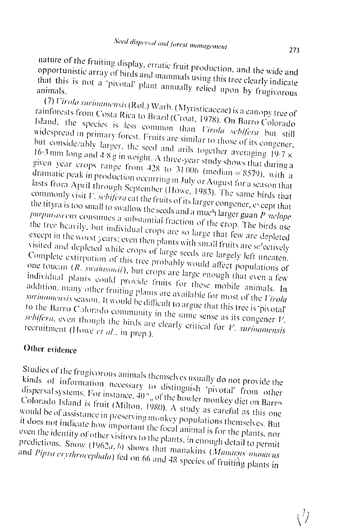nature of the fruiting display, erratic fruit production, and the wide and opportunistic array of birds and mammals using this tree clearly indicate that this is not a 'pivotal' plant annually relied upon by frugivorous

(7) Virola surinamensis (Rol.) Warb. (Myristicaceae) is a canopy tree of rainforests from Costa Rica to Brazil (Croat, 1978). On Barro Colorado Island, the species is less common than Virola sebifera but still widespread in primary forest. Fruits are similar to those of its congener, but considerably larger, the seed and arils together averaging 19.7 x 16.3 mm long and 4.8 g in weight. A three-year study shows that during a given year crops range from 428 to 31006 (median = 8579), with a dramatic peak in production occurring in July or August for a season that lasts from April through September (Howe, 1983). The same birds that commonly visit V, sebifera eat the fruits of its larger congener, except that the tityra is too small to swallow the seeds and a much larger guan P nelope purpurascens consumes a substantial fraction of the crop. The birds use the tree heavily, but individual crops are so large that few are depleted except in the worst years; even then plants with small fruits are selectively visited and depleted while crops of large seeds are largely left uneaten. Complete extirpation of this tree probably would affect populations of one toucan *(R, swainsonii)*, but crops are large enough that even a few individual plants could provide fruits for these mobile animals. In addition, many other fruiting plants are available for most of the Virola surinamensis season. It would be difficult to argue that this tree is 'pivotal' to the Barro Colorado community in the same sense as its congener  $V$ . sebifera, even though the birds are elearly critical for V. surinamensis recruitment (Howe et al., in prep.).

# Other evidence

Studies of the frugivorous animals themselves usually do not provide the kinds of information necessary to distinguish 'pivotal' from other dispersal systems. For instance,  $40\degree$  of the howler monkey diet on Barro Colorado Island is fruit (Milton, 1980). A study as careful as this one would be of assistance in preserving monkey populations themselves. But it does not indicate how important the focal animal is for the plants, nor even the identity of other visitors to the plants, in enough detail to permit predictions. Snow (1962a, b) shows that manakins (Managus manacus and Pipra erythrocephala) fed on 66 and 48 species of fruiting plants in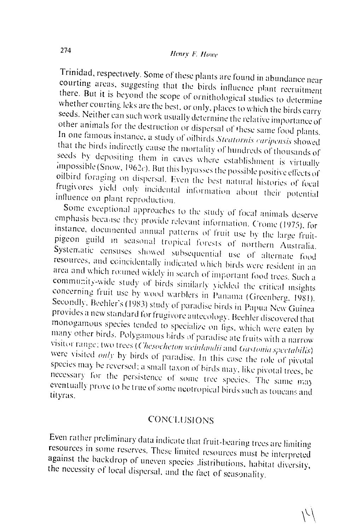Trinidad, respectively. Some of these plants are found in abundance near courting areas, suggesting that the birds influence plant recruitment there. But it is beyond the scope of ornithological studies to determine whether courting leks are the best, or only, places to which the birds carry seeds. Neither can such work usually determine the relative importance of other animals for the destruction or dispersal of these same food plants. In one famous instance, a study of oilbirds Steatornis caripensis showed that the birds indirectly cause the mortality of hundreds of thousands of seeds by depositing them in caves where establishment is virtually impossible (Snow, 1962c). But this bypasses the possible positive effects of oilbird foraging on dispersal. Even the best natural histories of focal frugivores yield only incidental information about their potential influence on plant reproduction.

Some exceptional approaches to the study of focal animals deserve emphasis because they provide relevant information. Crome (1975), for instance, documented annual patterns of fruit use by the large fruitpigeon guild in seasonal tropical forests of northern Australia. Systematic censuses showed subsequential use of alternate food resources, and coincidentally indicated which birds were resident in an area and which roumed widely in search of important food trees. Such a community-wide study of birds similarly yielded the critical msights concerning fruit use by wood warblers in Panama (Greenberg, 1981). Secondly, Beehler's (1983) study of paradise birds in Papua New Guinea provides a new standard for frugivore autecology. Beehler discovered that monogamous species tended to specialize on figs, which were eaten by many other birds. Polygamous birds of paradise ate fruits with a narrow visitor range; two trees (Chesocheton weinlandii and Gastonia spectabilis) were visited only by birds of paradise. In this case the role of pivotal species may be reversed; a small taxon of birds may, like pivotal trees, be necessary for the persistence of some tree species. The same may eventually prove to be true of some neotropical birds such as toucans and tityras.

# **CONCLUSIONS**

Even rather preliminary data indicate that fruit-bearing trees are limiting resources in some reserves. These limited resources must be interpreted against the backdrop of uneven species distributions, habitat diversity, the necessity of local dispersal, and the fact of seasonality.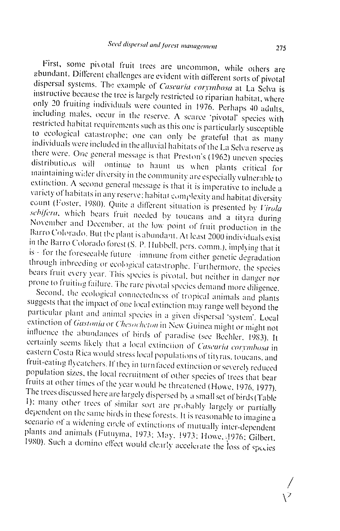First, some pivotal fruit trees are uncommon, while others are abundant. Different challenges are evident with different sorts of pivotal dispersal systems. The example of Casearia corymbosa at La Selva is instructive because the tree is largely restricted to riparian habitat, where only 20 fruiting individuals were counted in 1976. Perhaps 40 adults, including males, occur in the reserve. A scarce 'pivotal' species with restricted habitat requirements such as this one is particularly susceptible to ecological catastrophe; one can only be grateful that as many individuals were included in the alluvial habitats of the La Selva reserve as there were. One general message is that Preston's (1962) uneven species distributions will ontinue to haunt us when plants critical for maintaining wider diversity in the community are especially vulnerable to extinction. A second general message is that it is imperative to include a variety of habitats in any reserve; habitat complexity and habitat diversity count (Foster, 1980). Quite a different situation is presented by Virola sebifera, which bears fruit needed by toucans and a tityra during November and December, at the low point of fruit production in the Barro Colorado. But the plant is abundant. At least 2000 individuals exist in the Barro Colorado forest (S. P. Hubbell, pers. comm.), implying that it is - for the foreseeable future - immune from either genetic degradation through inbreeding or ecological catastrophe. Furthermore, the species bears fruit every year. This species is pivotal, but neither in danger nor prone to fruiting failure. The rare pivotal species demand more diligence.

Second, the ecological connectedness of tropical animals and plants suggests that the impact of one local extinction may range well beyond the particular plant and animal species in a given dispersal 'system'. Local extinction of Gastonia or Chesocheton in New Guinea might or might not influence the abundances of birds of paradise (see Beehler, 1983). It certainly seems likely that a local extinction of Casearia corymbosa in eastern Costa Rica would stress local populations of tityras, toucans, and fruit-eating flycatchers. If they in turn faced extinction or severely reduced population sizes, the local recruitment of other species of trees that bear fruits at other times of the year would be threatened (Howe, 1976, 1977). The trees discussed here are largely dispersed by a small set of birds (Table I); many other trees of similar sort are probably largely or partially dependent on the same birds in these forests. It is reasonable to imagine a scenario of a widening circle of extinctions of mutually inter-dependent plants and animals (Futuyma, 1973; May, 1973; Howe, 1976; Gilbert, 1980). Such a domino effect would clearly accelerate the loss of species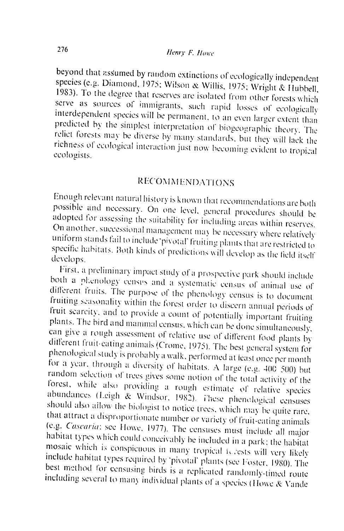beyond that assumed by random extinctions of ecologically independent species (e.g. Diamond, 1975; Wilson & Willis, 1975; Wright & Hubbell, 1983). To the degree that reserves are isolated from other forests which serve as sources of immigrants, such rapid losses of ecologically interdependent species will be permanent, to an even larger extent than predicted by the simplest interpretation of biogeographic theory. The reliet forests may be diverse by many standards, but they will lack the richness of ecological interaction just now becoming evident to tropical ecologists.

# **RECOMMENDATIONS**

Enough relevant natural history is known that recommendations are both possible and necessary. On one level, general procedures should be adopted for assessing the suitability for including areas within reserves. On another, successional management may be necessary where relatively uniform stands fail to include 'pivotal' fruiting plants that are restricted to specific habitats. Both kinds of predictions will develop as the field itself develops.

First, a preliminary impact study of a prospective park should include both a phenology census and a systematic census of animal use of different fruits. The purpose of the phenology census is to document fruiting seasonality within the forest order to discern annual periods of fruit searcity, and to provide a count of potentially important fruiting plants. The bird and mammal census, which can be done simultaneously, can give a rough assessment of relative use of different food plants by different fruit-eating animals (Crome, 1975). The best general system for phenological study is probably a walk, performed at least once per month for a year, through a diversity of habitats. A large (e.g. 400-500) but random selection of trees gives some notion of the total activity of the forest, while also providing a rough estimate of relative species abundances (Leigh & Windsor, 1982). These phenological censuses should also allow the biologist to notice trees, which may be quite rare, that attract a disproportionate number or variety of fruit-eating animals (e.g. Cascaria; see Howe, 1977). The censuses must include all major habitat types which could conceivably be included in a park; the habitat mosaic which is conspicuous in many tropical feasts will very likely include habitat types required by 'pivotal' plants (see Foster, 1980). The best method for censusing birds is a replicated randomly-timed route including several to many individual plants of a species (Howe & Vande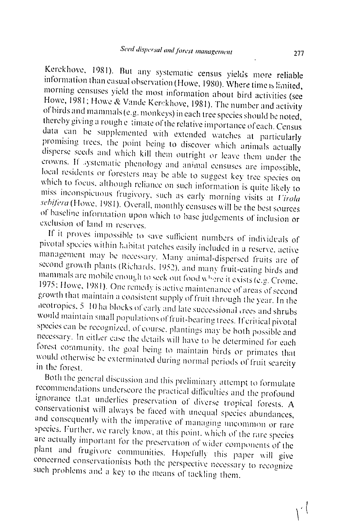Kerckhove, 1981). But any systematic census yields more reliable information than casual observation (Howe, 1980). Where time is limited, morning censuses yield the most information about bird activities (see Howe, 1981; Howe & Vande Kerckhove, 1981). The number and activity of birds and mammals (e.g. monkeys) in each tree species should be noted, thereby giving a rough elimate of the relative importance of each. Census data can be supplemented with extended watches at particularly promising trees, the point being to discover which animals actually disperse seeds and which kill them outright or leave them under the crowns. If systematic phenology and animal censuses are impossible, local residents or foresters may be able to suggest key tree species on which to focus, although reliance on such information is quite likely to miss inconspicuous frugivory, such as early morning visits at Virola sebifera (Howe, 1981). Overall, monthly censuses will be the best sources of baseline information upon which to base judgements of inclusion or exclusion of land in reserves.

If it proves impossible to save sufficient numbers of individuals of pivotal species within habitat patches easily included in a reserve, active management may be necessary. Many animal-dispersed fruits are of second growth plants (Richards, 1952), and many fruit-eating birds and mammals are mobile enough to seek out food where it exists (e.g. Crome, 1975; Howe, 1981). One remedy is active maintenance of areas of second growth that maintain a consistent supply of fruit through the year. In the aeotropics, 5-10 ha blocks of early and late successional crees and shrubs would maintain small populations of fruit-bearing trees. If critical pivotal species can be recognized, of course, plantings may be both possible and necessary. In either case the details will have to be determined for each forest community, the goal being to maintain birds or primates that would otherwise be exterminated during normal periods of fruit searcity in the forest.

Both the general discussion and this preliminary attempt to formulate recommendations underscore the practical difficulties and the profound ignorance that underlies preservation of diverse tropical forests. A conservationist will always be faced with unequal species abundances, and consequently with the imperative of managing uncommon or rare species. Further, we rarely know, at this point, which of the rare species are actually important for the preservation of wider components of the plant and frugivore communities. Hopefully this paper will give concerned conservationists both the perspective necessary to recognize such problems and a key to the means of tackling them.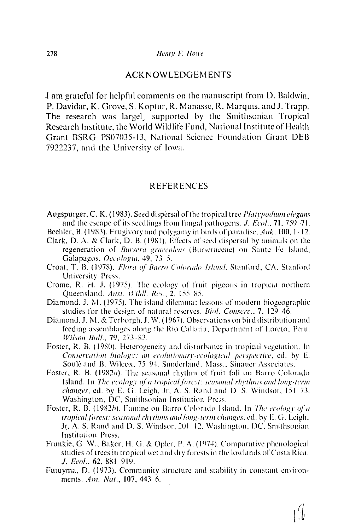#### Henry F. Howe

#### **ACKNOWLEDGEMENTS**

I am grateful for helpful comments on the manuscript from D. Baldwin, P. Davidar, K. Grove, S. Koptur, R. Manasse, R. Marquis, and J. Trapp. The research was largel, supported by the Smithsonian Tropical Research Institute, the World Wildlife Fund, National Institute of Health Grant BSRG PS07035-13, National Science Foundation Grant DEB 7922237, and the University of Iowa.

#### **REFERENCES**

Augspurger, C. K. (1983). Seed dispersal of the tropical tree *Platypodium elegans* and the escape of its seedlings from fungal pathogens. *J. Ecol.*, **71**, **75**9–71.

Beehler, B. (1983). Frugivory and polygamy in birds of paradise,  $Auk$ , 100, 1-12.

- Clark, D. A. & Clark, D. B. (1981). Effects of seed dispersal by animals on the regeneration of Bursera graveolens (Burseraceae) on Sante Fe Island, Galapagos. Oecologia, 49, 73-5.
- Croat, T. B. (1978). Flora of Barro Colorado Island. Stanford, CA, Stanford University Press.
- Crome, R. H. J. (1975). The ecology of fruit pigeons in tropical northern Queensland. Aust. Wildl. Res., 2, 155-85.
- Diamond, J. M. (1975). The island dilemma: lessons of modern biogeographic studies for the design of natural reserves. Biol. Conserv., 7, 129-46.
- Diamond, J. M. & Terborgh, J. W. (1967). Observations on bird distribution and feeding assemblages along the Rio Callaria, Department of Loreto, Peru. Wilson Bull., 79, 273-82.
- Foster, R. B. (1980). Heterogeneity and disturbance in tropical vegetation. In Conservation biology: an evolutionary-ecological perspective, ed. by E. Soulé and B. Wilcox, 75-94. Sunderland, Mass., Sinauer Associates.
- Foster, R. B. (1982a). The seasonal rhythm of fruit fall on Barro Colorado Island. In The ecology of a tropical forest: seasonal rhythms and long-term *changes*, ed. by E. G. Leigh, Jr, A. S. Rand and D. S. Windsor, 151-73. Washington, DC, Smithsonian Institution Press.
- Foster, R. B. (1982b). Famine on Barro Colorado Island. In *The ecology of a tropical forest: seasonal rhythms and long-term changes, ed. by E.G. Leigh,* Jr, A. S. Rand and D. S. Windsor, 201-12. Washington, DC, Smithsonian Institution Press.
- Frankie, G. W., Baker, H. G. & Opler, P. A. (1974). Comparative phenological studies of trees in tropical wet and dry forests in the lowlands of Costa Rica. J. Ecol., 62, 881 919.
- Futuyma, D. (1973). Community structure and stability in constant environments. Am. Nat., 107, 443 6.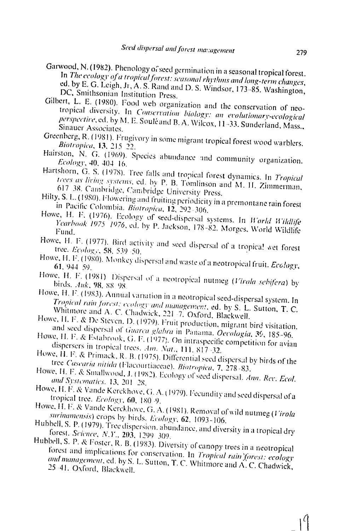- Garwood, N. (1982). Phenology of seed germination in a seasonal tropical forest. In The ecology of a tropical forest: seasonal rhythms and long-term changes, ed. by E. G. Leigh, Jr, A. S. Rand and D. S. Windsor, 173-85. Washington, DC, Smithsonian Institution Press.
- Gilbert, L. E. (1980). Food web organization and the conservation of neotropical diversity. In Conservation biology: an evolutionary-ecological perspective, ed. by M. E. Soulé and B. A. Wilcox, 11-33. Sunderland, Mass., Sinauer Associates.
- Greenberg, R. (1981). Frugivory in some migrant tropical forest wood warblers. Biotropica, 13, 215-22.
- Hairston, N. G. (1969). Species abundance and community organization. *Ecology*,  $40, 404, 16$ .
- Hartshorn, G. S. (1978). Tree falls and tropical forest dynamics. In Tropical trees as living systems, ed. by P. B. Tomlinson and M. H. Zimmerman, 617-38. Cambridge, Cambridge University Press.
- Hilty, S. L. (1980). Flowering and fruiting periodicity in a premontane rain forest in Pacific Colombia. Biotropica, 12, 292-306.
- Howe, H. F. (1976). Ecology of seed-dispersal systems. In World Wildlife Yearbook 1975 1976, ed. by P. Jackson, 178-82. Morges, World Wildlife Fund.
- Howe, H. F. (1977). Bird activity and seed dispersal of a tropica! wet forest tree. Ecology, 58, 539-50.
- Howe, H. F. (1980). Monkey dispersal and waste of a neotropical fruit. Ecology, 61, 944  $59$ .
- Howe, H. F. (1981) Dispersal of a neotropical nutmeg (Virola sebifera) by birds. Auk, 98, 88-98.
- Howe, H. F. (1983). Annual variation in a neotropical seed-dispersal system. In Tropical rain forest: ecology and management, ed. by S. L. Sutton, T. C. Whitmore and A. C. Chadwick, 221-7. Oxford, Blackwell.
- Howe, H. F. & De Steven, D. (1979). Fruit production, migrant bird visitation, and seed dispersal of Guarca glabra in Panama, Oecologia, 39, 185-96.
- Howe, H. F. & Estabrook, G. F. (1977). On intraspecific competition for avian dispersers in tropical trees, Am. Nat., 111, 817-32.
- Howe, H. F. & Primack, R. B. (1975). Differential seed dispersal by birds of the tree Casearia nitida (Flacourtiaceae). Biotropica, 7, 278-83.
- Howe, H. F. & Smallwood, J. (1982). Ecology of seed dispersal. Ann. Rev. Ecol. and Systematics, 13, 201-28.
- Howe, H. F. & Vande Kerckhove, G. A. (1979). Fecundity and seed dispersal of a tropical tree. Ecology, 60, 180-9.
- Howe, H. F. & Vande Kerckhove, G. A. (1981). Removal of wild nutmeg (Virola surinamensis) crops by birds. Ecology, 62, 1093-106.
- Hubbell, S. P. (1979). Tree dispersion, abundance, and diversity in a tropical dry forest. Science, N.Y., 203, 1299-309.
- Hubbell, S. P. & Foster, R. B. (1983). Diversity of canopy trees in a neotropical forest and implications for conservation. In Tropical rain forest: ecology and management, ed. by S. L. Sutton, T. C. Whitmore and A. C. Chadwick, 25-41. Oxford, Blackwell.

 $\mathcal{C}_{1}$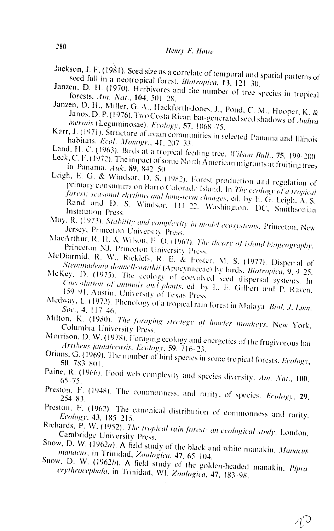- Jackson, J. F. (1981). Seed size as a correlate of temporal and spatial patterns of seed fall in a neotropical forest. Biotropica, 13, 121-30.
- Janzen, D. H. (1970). Herbivores and the number of tree species in tropical forests. Am. Nat., 104, 501-28.
- Janzen, D. H., Miller, G. A., Hackforth-Jones, J., Pond, C. M., Hooper, K. & Janos, D. P. (1976). Two Costa Rican bat-generated seed shadows of Andira inermis (Leguminosae). Ecology, 57, 1068-75.
- Karr, J. (1971). Structure of avian communities in selected Panama and Illinois habitats. Ecol. Monogr., 41, 207-33.
- Land, H. C. (1963). Birds at a tropical feeding tree. Wilson Bull., 75, 199-200.
- Leck, C. F. (1972). The impact of some North American migrants at fruiting trees in Panama. Auk, 89, 842-50.
- Leigh, E. G. & Windsor, D. S. (1982). Forest production and regulation of primary consumers on Barro Colorado Island. In The ecology of a tropical forest: seasonal rhythms and long-term changes, ed. by E. G. Leigh, A. S. Rand and D. S. Windsor, 111 22. Washington, DC, Smithsonian Institution Press.
- May, R. (1973). Stability and complexity in model ecosystems. Princeton, New Jersey, Princeton University Press.
- MacArthur, R. H. & Wilson, E. O. (1967). The theory of island biogeography. Princeton NJ, Princeton University Press.
- McDiarmid, R. W., Ricklefs, R. E. & Foster, M. S. (1977). Disper al of Stemmadenia donnell-smithii (Apocynaceae) by birds. Biotropica, 9, 9-25.
- McKey, D. (1975). The ecology of coevolved seed dispersal systems. In Coccolution of animals and plants, ed. by L. E. Gilbert and P. Raven, 159-91. Austin, University of Texas Press.
- Medway, L. (1972). Phenology of a tropical rain forest in Malaya. Biol. J. Linn. Soc., 4, 117 46.
- Milton, K. (1980). The foraging stretegy of howler monkeys. New York, Columbia University Press.
- Morrison, D. W. (1978). Foraging ecology and energetics of the frugivorous bat Artibeus jamaicensis. Ecology, 59, 716-23.
- Orians, G. (1969). The number of bird species in some tropical forests. Ecology, 50. 783 801.
- Paine, R. (1966). Food web complexity and species diversity. Am. Nat., 100.
- Preston, F. (1948). The commonness, and rarity, of species. Ecology, 29, 254-83.
- Preston, F. (1962). The canonical distribution of commonness and rarity. Ecology, 43, 185-215.
- Richards, P. W. (1952). The tropical rain forest: an ecological study. London, Cambridge University Press.
- Snow, D. W. (1962a). A field study of the black and white manakin, Manacus manacus, in Trinidad, Zoologica, 47, 65-104.
- Snow, D. W. (1962b). A field study of the golden-headed manakin, Pipra erythrocephala, in Trinidad, WI. Zoologica, 47, 183-98.